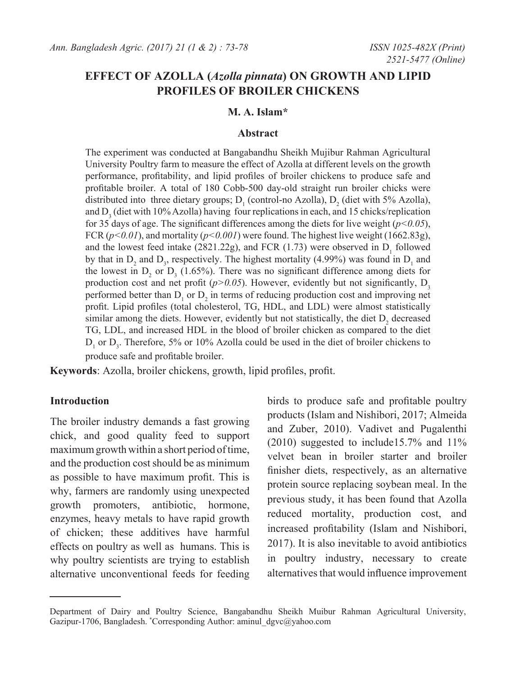# **EFFECT OF AZOLLA (***Azolla pinnata***) ON GROWTH AND LIPID PROFILES OF BROILER CHICKENS**

## **M. A. Islam\***

#### **Abstract**

The experiment was conducted at Bangabandhu Sheikh Mujibur Rahman Agricultural University Poultry farm to measure the effect of Azolla at different levels on the growth performance, profitability, and lipid profiles of broiler chickens to produce safe and profitable broiler. A total of 180 Cobb-500 day-old straight run broiler chicks were distributed into three dietary groups;  $D_1$  (control-no Azolla),  $D_2$  (diet with 5% Azolla), and  $D_3$  (diet with 10% Azolla) having four replications in each, and 15 chicks/replication for 35 days of age. The significant differences among the diets for live weight  $(p<0.05)$ , FCR  $(p<0.01)$ , and mortality  $(p<0.001)$  were found. The highest live weight (1662.83g), and the lowest feed intake (2821.22g), and FCR (1.73) were observed in  $D_1$  followed by that in  $D_2$  and  $D_3$ , respectively. The highest mortality (4.99%) was found in  $D_1$  and the lowest in  $D_2$  or  $D_3$  (1.65%). There was no significant difference among diets for production cost and net profit ( $p$ >0.05). However, evidently but not significantly,  $D_3$ performed better than  $D_1$  or  $D_2$  in terms of reducing production cost and improving net profit. Lipid profiles (total cholesterol, TG, HDL, and LDL) were almost statistically similar among the diets. However, evidently but not statistically, the diet  $D_2$  decreased TG, LDL, and increased HDL in the blood of broiler chicken as compared to the diet  $D_1$  or  $D_3$ . Therefore, 5% or 10% Azolla could be used in the diet of broiler chickens to produce safe and profitable broiler.

**Keywords**: Azolla, broiler chickens, growth, lipid profiles, profit.

## **Introduction**

The broiler industry demands a fast growing chick, and good quality feed to support maximum growth within a short period of time, and the production cost should be as minimum as possible to have maximum profit. This is why, farmers are randomly using unexpected growth promoters, antibiotic, hormone, enzymes, heavy metals to have rapid growth of chicken; these additives have harmful effects on poultry as well as humans. This is why poultry scientists are trying to establish alternative unconventional feeds for feeding birds to produce safe and profitable poultry products (Islam and Nishibori, 2017; Almeida and Zuber, 2010). Vadivet and Pugalenthi (2010) suggested to include15.7% and 11% velvet bean in broiler starter and broiler finisher diets, respectively, as an alternative protein source replacing soybean meal. In the previous study, it has been found that Azolla reduced mortality, production cost, and increased profitability (Islam and Nishibori, 2017). It is also inevitable to avoid antibiotics in poultry industry, necessary to create alternatives that would influence improvement

Department of Dairy and Poultry Science, Bangabandhu Sheikh Muibur Rahman Agricultural University, Gazipur-1706, Bangladesh. \* Corresponding Author: aminul\_dgvc@yahoo.com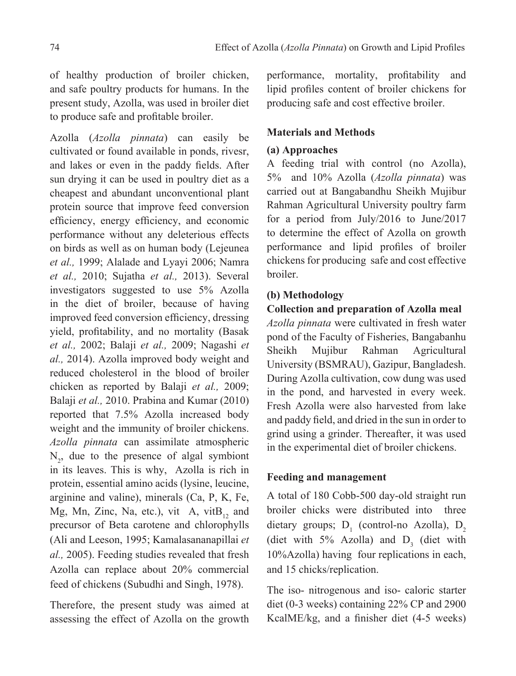of healthy production of broiler chicken, and safe poultry products for humans. In the present study, Azolla, was used in broiler diet to produce safe and profitable broiler.

Azolla (*Azolla pinnata*) can easily be cultivated or found available in ponds, rivesr, and lakes or even in the paddy fields. After sun drying it can be used in poultry diet as a cheapest and abundant unconventional plant protein source that improve feed conversion efficiency, energy efficiency, and economic performance without any deleterious effects on birds as well as on human body (Lejeunea *et al.,* 1999; Alalade and Lyayi 2006; Namra *et al.,* 2010; Sujatha *et al.,* 2013). Several investigators suggested to use 5% Azolla in the diet of broiler, because of having improved feed conversion efficiency, dressing yield, profitability, and no mortality (Basak *et al.,* 2002; Balaji *et al.,* 2009; Nagashi *et al.,* 2014). Azolla improved body weight and reduced cholesterol in the blood of broiler chicken as reported by Balaji *et al.,* 2009; Balaji *et al.,* 2010. Prabina and Kumar (2010) reported that 7.5% Azolla increased body weight and the immunity of broiler chickens. *Azolla pinnata* can assimilate atmospheric  $N_2$ , due to the presence of algal symbiont in its leaves. This is why, Azolla is rich in protein, essential amino acids (lysine, leucine, arginine and valine), minerals (Ca, P, K, Fe, Mg, Mn, Zinc, Na, etc.), vit A, vit $B_{12}$  and precursor of Beta carotene and chlorophylls (Ali and Leeson, 1995; Kamalasananapillai *et al.,* 2005). Feeding studies revealed that fresh Azolla can replace about 20% commercial feed of chickens (Subudhi and Singh, 1978).

Therefore, the present study was aimed at assessing the effect of Azolla on the growth

performance, mortality, profitability and lipid profiles content of broiler chickens for producing safe and cost effective broiler.

## **Materials and Methods**

# **(a) Approaches**

A feeding trial with control (no Azolla), 5% and 10% Azolla (*Azolla pinnata*) was carried out at Bangabandhu Sheikh Mujibur Rahman Agricultural University poultry farm for a period from July/2016 to June/2017 to determine the effect of Azolla on growth performance and lipid profiles of broiler chickens for producing safe and cost effective broiler.

# **(b) Methodology**

# **Collection and preparation of Azolla meal**

*Azolla pinnata* were cultivated in fresh water pond of the Faculty of Fisheries, Bangabanhu Sheikh Mujibur Rahman Agricultural University (BSMRAU), Gazipur, Bangladesh. During Azolla cultivation, cow dung was used in the pond, and harvested in every week. Fresh Azolla were also harvested from lake and paddy field, and dried in the sun in order to grind using a grinder. Thereafter, it was used in the experimental diet of broiler chickens.

# **Feeding and management**

A total of 180 Cobb-500 day-old straight run broiler chicks were distributed into three dietary groups;  $D_1$  (control-no Azolla),  $D_2$ (diet with  $5\%$  Azolla) and  $D_3$  (diet with 10%Azolla) having four replications in each, and 15 chicks/replication.

The iso- nitrogenous and iso- caloric starter diet (0-3 weeks) containing 22% CP and 2900 KcalME/kg, and a finisher diet (4-5 weeks)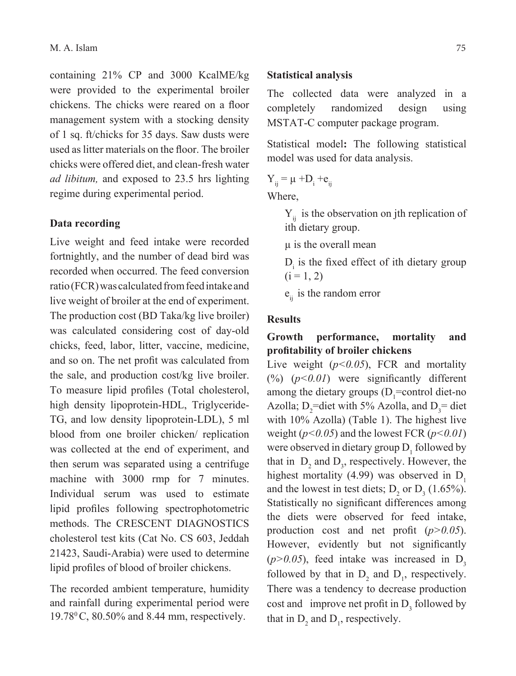containing 21% CP and 3000 KcalME/kg were provided to the experimental broiler chickens. The chicks were reared on a floor management system with a stocking density of 1 sq. ft/chicks for 35 days. Saw dusts were used as litter materials on the floor. The broiler chicks were offered diet, and clean-fresh water *ad libitum,* and exposed to 23.5 hrs lighting regime during experimental period.

### **Data recording**

Live weight and feed intake were recorded fortnightly, and the number of dead bird was recorded when occurred. The feed conversion ratio (FCR) was calculated from feed intake and live weight of broiler at the end of experiment. The production cost (BD Taka/kg live broiler) was calculated considering cost of day-old chicks, feed, labor, litter, vaccine, medicine, and so on. The net profit was calculated from the sale, and production cost/kg live broiler. To measure lipid profiles (Total cholesterol, high density lipoprotein-HDL, Triglyceride-TG, and low density lipoprotein-LDL), 5 ml blood from one broiler chicken/ replication was collected at the end of experiment, and then serum was separated using a centrifuge machine with 3000 rmp for 7 minutes. Individual serum was used to estimate lipid profiles following spectrophotometric methods. The CRESCENT DIAGNOSTICS cholesterol test kits (Cat No. CS 603, Jeddah 21423, Saudi-Arabia) were used to determine lipid profiles of blood of broiler chickens.

The recorded ambient temperature, humidity and rainfall during experimental period were 19.780 C, 80.50% and 8.44 mm, respectively.

### **Statistical analysis**

The collected data were analyzed in a completely randomized design using MSTAT-C computer package program.

Statistical model**:** The following statistical model was used for data analysis.

$$
Y_{ij} = \mu + D_i + e_{ij}
$$

Where,

 $Y_{ii}$  is the observation on jth replication of ith dietary group.

µ is the overall mean

 $D_i$  is the fixed effect of ith dietary group  $(i = 1, 2)$ 

 $e_{ii}$  is the random error

## **Results**

# **Growth performance, mortality and profitability of broiler chickens**

Live weight ( $p<0.05$ ), FCR and mortality (%) (*p<0.01*) were significantly different among the dietary groups  $(D_1 = \text{control diet-no})$ Azolla;  $D_2$ =diet with 5% Azolla, and  $D_3$ = diet with 10% Azolla) (Table 1). The highest live weight (*p<0.05*) and the lowest FCR (*p<0.01*) were observed in dietary group  $D_1$  followed by that in  $D_2$  and  $D_3$ , respectively. However, the highest mortality (4.99) was observed in  $D_1$ and the lowest in test diets;  $D_2$  or  $D_3$  (1.65%). Statistically no significant differences among the diets were observed for feed intake, production cost and net profit (*p>0.05*). However, evidently but not significantly  $(p>0.05)$ , feed intake was increased in D<sub>3</sub> followed by that in  $D_2$  and  $D_1$ , respectively. There was a tendency to decrease production cost and improve net profit in  $D_3$  followed by that in  $D_2$  and  $D_1$ , respectively.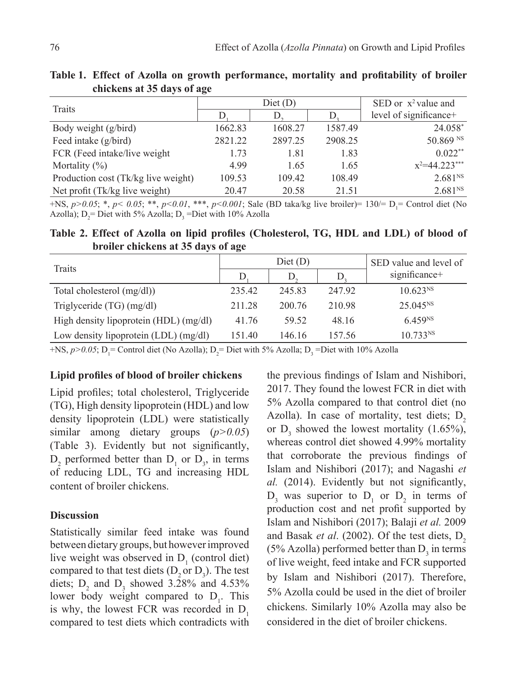| Traits                              | Diet(D) |         |         | SED or $x^2$ value and |
|-------------------------------------|---------|---------|---------|------------------------|
|                                     |         | $\Box$  |         | level of significance+ |
| Body weight (g/bird)                | 1662.83 | 1608.27 | 1587.49 | 24.058*                |
| Feed intake (g/bird)                | 2821.22 | 2897.25 | 2908.25 | 50.869 NS              |
| FCR (Feed intake/live weight)       | 1.73    | 1.81    | 1.83    | $0.022**$              |
| Mortality $(\%)$                    | 4.99    | 1.65    | 1.65    | $x^2 = 44.223$ ***     |
| Production cost (Tk/kg live weight) | 109.53  | 109.42  | 108.49  | 2.681 <sup>NS</sup>    |
| Net profit (Tk/kg live weight)      | 20.47   | 20.58   | 21.51   | 2.681 <sup>NS</sup>    |

**Table 1. Effect of Azolla on growth performance, mortality and profitability of broiler chickens at 35 days of age**

 $+NS$ ,  $p>0.05$ ; \*,  $p< 0.05$ ; \*\*,  $p< 0.01$ , \*\*\*,  $p< 0.001$ ; Sale (BD taka/kg live broiler)= 130/= D<sub>1</sub>= Control diet (No Azolla);  $D_2$ = Diet with 5% Azolla;  $D_3$  =Diet with 10% Azolla

**Table 2. Effect of Azolla on lipid profiles (Cholesterol, TG, HDL and LDL) of blood of broiler chickens at 35 days of age**

| Traits                                 | Dict(D) |        |        | SED value and level of |
|----------------------------------------|---------|--------|--------|------------------------|
|                                        | D       | D.     | D      | significance+          |
| Total cholesterol (mg/dl))             | 235.42  | 245.83 | 24792  | 10.623 <sup>NS</sup>   |
| Triglyceride $(TG)$ (mg/dl)            | 211.28  | 200 76 | 210.98 | $25.045^{NS}$          |
| High density lipoprotein (HDL) (mg/dl) | 41.76   | 59.52  | 48.16  | 6.459 <sup>NS</sup>    |
| Low density lipoprotein (LDL) (mg/dl)  | 151.40  | 146.16 | 157.56 | 10.733 <sup>NS</sup>   |

+NS,  $p > 0.05$ ; D<sub>1</sub> = Control diet (No Azolla); D<sub>2</sub> = Diet with 5% Azolla; D<sub>3</sub> = Diet with 10% Azolla

#### **Lipid profiles of blood of broiler chickens**

Lipid profiles; total cholesterol, Triglyceride (TG), High density lipoprotein (HDL) and low density lipoprotein (LDL) were statistically similar among dietary groups (*p>0.05*) (Table 3). Evidently but not significantly,  $D_2$  performed better than  $D_1$  or  $D_3$ , in terms of reducing LDL, TG and increasing HDL content of broiler chickens.

#### **Discussion**

Statistically similar feed intake was found between dietary groups, but however improved live weight was observed in  $D_1$  (control diet) compared to that test diets  $(D_2$  or  $D_3)$ . The test diets;  $D_2$  and  $D_3$  showed 3.28% and 4.53% lower body weight compared to  $D_1$ . This is why, the lowest FCR was recorded in  $D_1$ compared to test diets which contradicts with

the previous findings of Islam and Nishibori, 2017. They found the lowest FCR in diet with 5% Azolla compared to that control diet (no Azolla). In case of mortality, test diets;  $D<sub>2</sub>$ or  $D_3$  showed the lowest mortality (1.65%), whereas control diet showed 4.99% mortality that corroborate the previous findings of Islam and Nishibori (2017); and Nagashi *et al.* (2014). Evidently but not significantly,  $D_3$  was superior to  $D_1$  or  $D_2$  in terms of production cost and net profit supported by Islam and Nishibori (2017); Balaji *et al.* 2009 and Basak et al. (2002). Of the test diets, D<sub>2</sub> (5% Azolla) performed better than  $D_3$  in terms of live weight, feed intake and FCR supported by Islam and Nishibori (2017). Therefore, 5% Azolla could be used in the diet of broiler chickens. Similarly 10% Azolla may also be considered in the diet of broiler chickens.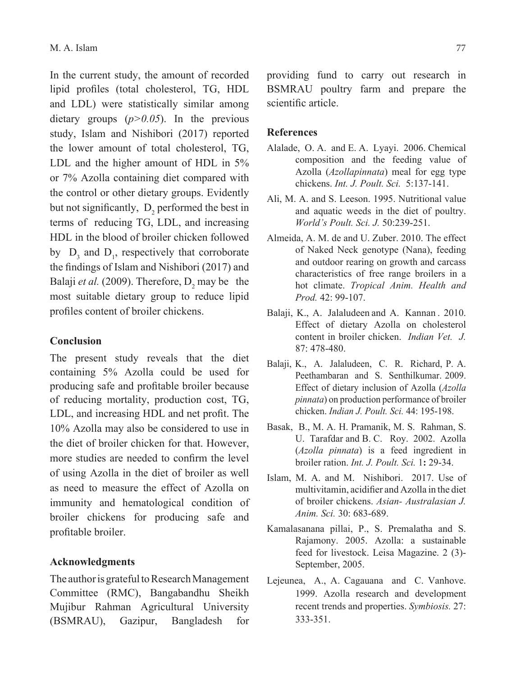In the current study, the amount of recorded lipid profiles (total cholesterol, TG, HDL and LDL) were statistically similar among dietary groups (*p>0.05*). In the previous study, Islam and Nishibori (2017) reported the lower amount of total cholesterol, TG, LDL and the higher amount of HDL in 5% or 7% Azolla containing diet compared with the control or other dietary groups. Evidently but not significantly,  $D_2$  performed the best in terms of reducing TG, LDL, and increasing HDL in the blood of broiler chicken followed by  $D_3$  and  $D_1$ , respectively that corroborate the findings of Islam and Nishibori (2017) and Balaji *et al.* (2009). Therefore,  $D_2$  may be the most suitable dietary group to reduce lipid profiles content of broiler chickens.

## **Conclusion**

The present study reveals that the diet containing 5% Azolla could be used for producing safe and profitable broiler because of reducing mortality, production cost, TG, LDL, and increasing HDL and net profit. The 10% Azolla may also be considered to use in the diet of broiler chicken for that. However, more studies are needed to confirm the level of using Azolla in the diet of broiler as well as need to measure the effect of Azolla on immunity and hematological condition of broiler chickens for producing safe and profitable broiler.

#### **Acknowledgments**

The author is grateful to Research Management Committee (RMC), Bangabandhu Sheikh Mujibur Rahman Agricultural University (BSMRAU), Gazipur, Bangladesh for

providing fund to carry out research in BSMRAU poultry farm and prepare the scientific article.

#### **References**

- Alalade, O. A. and E. A. Lyayi. 2006. Chemical composition and the feeding value of Azolla (*Azollapinnata*) meal for egg type chickens. *Int. J. Poult. Sci.* 5:137-141.
- Ali, M. A. and S. Leeson. 1995. Nutritional value and aquatic weeds in the diet of poultry. *World's Poult. Sci. J.* 50:239-251.
- Almeida, A. M. de and U. Zuber. 2010. The effect of Naked Neck genotype (Nana), feeding and outdoor rearing on growth and carcass characteristics of free range broilers in a hot climate. *Tropical Anim. Health and Prod.* 42: 99-107.
- Balaji, K., A. Jalaludeen and A. Kannan . 2010. Effect of dietary Azolla on cholesterol content in broiler chicken. *Indian Vet. J.*  87: 478-480.
- Balaji, K., A. Jalaludeen, C. R. Richard, P. A. Peethambaran and S. Senthilkumar. 2009. Effect of dietary inclusion of Azolla (*Azolla pinnata*) on production performance of broiler chicken. *Indian J. Poult. Sci.* 44: 195-198.
- Basak, B., M. A. H. Pramanik, M. S. Rahman, S. U. Tarafdar and B. C. Roy. 2002. Azolla (*Azolla pinnata*) is a feed ingredient in broiler ration. *Int. J. Poult. Sci.* 1**:** 29-34.
- Islam, M. A. and M. Nishibori. 2017. Use of multivitamin, acidifier and Azolla in the diet of broiler chickens. *Asian- Australasian J. Anim. Sci.* 30: 683-689.
- Kamalasanana pillai, P., S. Premalatha and S. Rajamony. 2005. Azolla: a sustainable feed for livestock. Leisa Magazine. 2 (3)- September, 2005.
- Lejeunea, A., A. Cagauana and C. Vanhove. 1999. Azolla research and development recent trends and properties. *Symbiosis.* 27: 333-351.